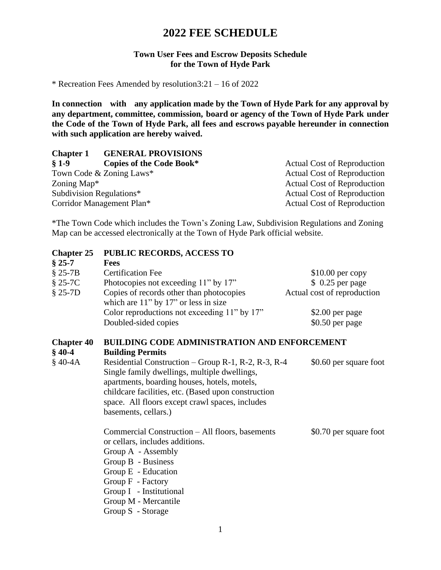# **2022 FEE SCHEDULE**

### **Town User Fees and Escrow Deposits Schedule for the Town of Hyde Park**

\* Recreation Fees Amended by resolution3:21 – 16 of 2022

**In connection with any application made by the Town of Hyde Park for any approval by any department, committee, commission, board or agency of the Town of Hyde Park under the Code of the Town of Hyde Park, all fees and escrows payable hereunder in connection with such application are hereby waived.**

### **Chapter 1 GENERAL PROVISIONS**

| $§ 1-9$                 | Copies of the Code Book*  | <b>Actual Cost of Reproduction</b> |
|-------------------------|---------------------------|------------------------------------|
|                         | Town Code & Zoning Laws*  | <b>Actual Cost of Reproduction</b> |
| Zoning Map <sup>*</sup> |                           | Actual Cost of Reproduction        |
|                         | Subdivision Regulations*  | <b>Actual Cost of Reproduction</b> |
|                         | Corridor Management Plan* | Actual Cost of Reproduction        |

\*The Town Code which includes the Town's Zoning Law, Subdivision Regulations and Zoning Map can be accessed electronically at the Town of Hyde Park official website.

| <b>Chapter 25</b>             | <b>PUBLIC RECORDS, ACCESS TO</b>                                                                                                                                                                                                                                                      |                             |
|-------------------------------|---------------------------------------------------------------------------------------------------------------------------------------------------------------------------------------------------------------------------------------------------------------------------------------|-----------------------------|
| $§ 25-7$                      | <b>Fees</b>                                                                                                                                                                                                                                                                           |                             |
| $§$ 25-7B                     | <b>Certification Fee</b>                                                                                                                                                                                                                                                              | $$10.00$ per copy           |
| $§$ 25-7C                     | Photocopies not exceeding 11" by 17"                                                                                                                                                                                                                                                  | \$ 0.25 per page            |
| $$25-7D$                      | Copies of records other than photocopies<br>which are $11$ " by $17$ " or less in size                                                                                                                                                                                                | Actual cost of reproduction |
|                               | Color reproductions not exceeding 11" by 17"                                                                                                                                                                                                                                          | \$2.00 per page             |
|                               | Doubled-sided copies                                                                                                                                                                                                                                                                  | $$0.50$ per page            |
| <b>Chapter 40</b><br>$§$ 40-4 | <b>BUILDING CODE ADMINISTRATION AND ENFORCEMENT</b><br><b>Building Permits</b>                                                                                                                                                                                                        |                             |
| $§$ 40-4A                     | Residential Construction – Group R-1, R-2, R-3, R-4<br>Single family dwellings, multiple dwellings,<br>apartments, boarding houses, hotels, motels,<br>childcare facilities, etc. (Based upon construction<br>space. All floors except crawl spaces, includes<br>basements, cellars.) | \$0.60 per square foot      |
|                               | Commercial Construction – All floors, basements<br>or cellars, includes additions.<br>Group A - Assembly<br>Group B - Business<br>Group E - Education<br>Group F - Factory<br>Group I - Institutional<br>Group M - Mercantile<br>Group S - Storage                                    | \$0.70 per square foot      |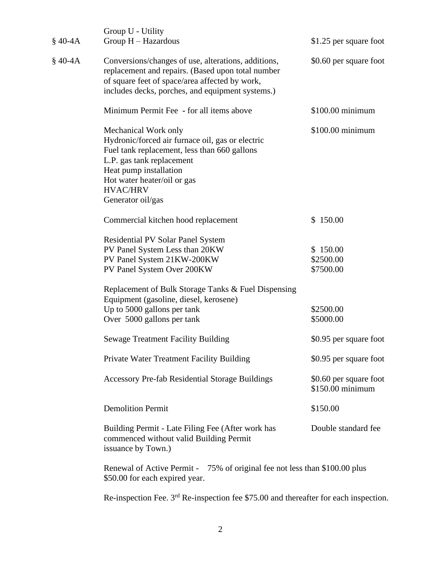| $§$ 40-4A | Group U - Utility<br>Group H - Hazardous                                                                                                                                                                                                               | \$1.25 per square foot                     |
|-----------|--------------------------------------------------------------------------------------------------------------------------------------------------------------------------------------------------------------------------------------------------------|--------------------------------------------|
| $$40-4A$  | Conversions/changes of use, alterations, additions,<br>replacement and repairs. (Based upon total number<br>of square feet of space/area affected by work,<br>includes decks, porches, and equipment systems.)                                         | \$0.60 per square foot                     |
|           | Minimum Permit Fee - for all items above                                                                                                                                                                                                               | \$100.00 minimum                           |
|           | Mechanical Work only<br>Hydronic/forced air furnace oil, gas or electric<br>Fuel tank replacement, less than 660 gallons<br>L.P. gas tank replacement<br>Heat pump installation<br>Hot water heater/oil or gas<br><b>HVAC/HRV</b><br>Generator oil/gas | $$100.00$ minimum                          |
|           | Commercial kitchen hood replacement                                                                                                                                                                                                                    | \$150.00                                   |
|           | Residential PV Solar Panel System<br>PV Panel System Less than 20KW<br>PV Panel System 21KW-200KW<br>PV Panel System Over 200KW                                                                                                                        | \$150.00<br>\$2500.00<br>\$7500.00         |
|           | Replacement of Bulk Storage Tanks & Fuel Dispensing<br>Equipment (gasoline, diesel, kerosene)                                                                                                                                                          |                                            |
|           | Up to 5000 gallons per tank<br>Over 5000 gallons per tank                                                                                                                                                                                              | \$2500.00<br>\$5000.00                     |
|           | <b>Sewage Treatment Facility Building</b>                                                                                                                                                                                                              | \$0.95 per square foot                     |
|           | Private Water Treatment Facility Building                                                                                                                                                                                                              | \$0.95 per square foot                     |
|           | <b>Accessory Pre-fab Residential Storage Buildings</b>                                                                                                                                                                                                 | \$0.60 per square foot<br>\$150.00 minimum |
|           | <b>Demolition Permit</b>                                                                                                                                                                                                                               | \$150.00                                   |
|           | Building Permit - Late Filing Fee (After work has<br>commenced without valid Building Permit<br>issuance by Town.)                                                                                                                                     | Double standard fee                        |
|           | Renewal of Active Permit -<br>75% of original fee not less than \$100.00 plus                                                                                                                                                                          |                                            |

Re-inspection Fee.  $3<sup>rd</sup>$  Re-inspection fee \$75.00 and thereafter for each inspection.

\$50.00 for each expired year.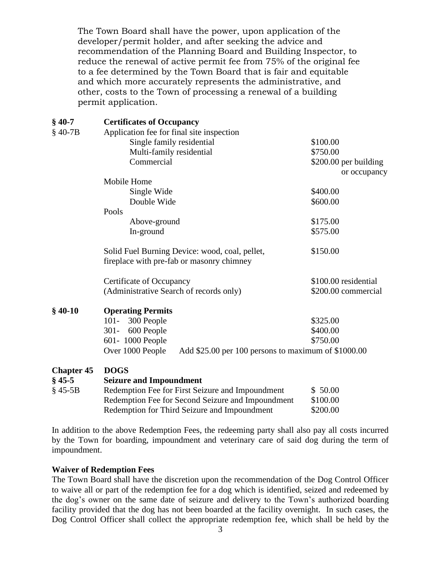The Town Board shall have the power, upon application of the developer/permit holder, and after seeking the advice and recommendation of the Planning Board and Building Inspector, to reduce the renewal of active permit fee from 75% of the original fee to a fee determined by the Town Board that is fair and equitable and which more accurately represents the administrative, and other, costs to the Town of processing a renewal of a building permit application.

### **§ 40-7 Certificates of Occupancy**

| $$40-7B$          | Application fee for final site inspection                                                   |                       |
|-------------------|---------------------------------------------------------------------------------------------|-----------------------|
|                   | Single family residential                                                                   | \$100.00              |
|                   | Multi-family residential                                                                    | \$750.00              |
|                   | Commercial                                                                                  | \$200.00 per building |
|                   |                                                                                             | or occupancy          |
|                   | Mobile Home                                                                                 |                       |
|                   | Single Wide                                                                                 | \$400.00              |
|                   | Double Wide                                                                                 | \$600.00              |
|                   | Pools                                                                                       |                       |
|                   | Above-ground                                                                                | \$175.00              |
|                   | In-ground                                                                                   | \$575.00              |
|                   | Solid Fuel Burning Device: wood, coal, pellet,<br>fireplace with pre-fab or masonry chimney | \$150.00              |
|                   | Certificate of Occupancy                                                                    | \$100.00 residential  |
|                   | (Administrative Search of records only)                                                     | \$200.00 commercial   |
| $$40-10$          | <b>Operating Permits</b>                                                                    |                       |
|                   | $101 -$<br>300 People                                                                       | \$325.00              |
|                   | $301 -$<br>600 People                                                                       | \$400.00              |
|                   | 601-1000 People                                                                             | \$750.00              |
|                   | Over 1000 People<br>Add \$25.00 per 100 persons to maximum of \$1000.00                     |                       |
| <b>Chapter 45</b> | <b>DOGS</b>                                                                                 |                       |
| $§$ 45-5          | <b>Seizure and Impoundment</b>                                                              |                       |
| 8.45.5D           | <b>Dodomntion Foo for First Soizuro and Impoundment</b>                                     | $\mathfrak{c}$ 50.00  |

| $§ 45-5B$ | Redemption Fee for First Seizure and Impoundment  | \$50.00  |
|-----------|---------------------------------------------------|----------|
|           | Redemption Fee for Second Seizure and Impoundment | \$100.00 |
|           | Redemption for Third Seizure and Impoundment      | \$200.00 |

In addition to the above Redemption Fees, the redeeming party shall also pay all costs incurred by the Town for boarding, impoundment and veterinary care of said dog during the term of impoundment.

### **Waiver of Redemption Fees**

The Town Board shall have the discretion upon the recommendation of the Dog Control Officer to waive all or part of the redemption fee for a dog which is identified, seized and redeemed by the dog's owner on the same date of seizure and delivery to the Town's authorized boarding facility provided that the dog has not been boarded at the facility overnight. In such cases, the Dog Control Officer shall collect the appropriate redemption fee, which shall be held by the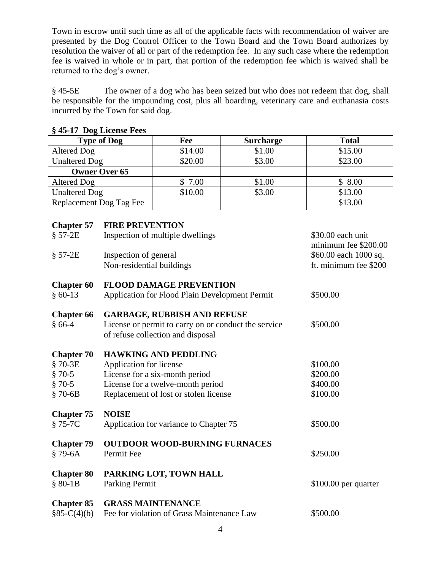Town in escrow until such time as all of the applicable facts with recommendation of waiver are presented by the Dog Control Officer to the Town Board and the Town Board authorizes by resolution the waiver of all or part of the redemption fee. In any such case where the redemption fee is waived in whole or in part, that portion of the redemption fee which is waived shall be returned to the dog's owner.

§ 45-5E The owner of a dog who has been seized but who does not redeem that dog, shall be responsible for the impounding cost, plus all boarding, veterinary care and euthanasia costs incurred by the Town for said dog.

| <b>Type of Dog</b>      | Fee     | <b>Surcharge</b> | <b>Total</b> |
|-------------------------|---------|------------------|--------------|
| Altered Dog             | \$14.00 | \$1.00           | \$15.00      |
| <b>Unaltered Dog</b>    | \$20.00 | \$3.00           | \$23.00      |
| <b>Owner Over 65</b>    |         |                  |              |
| Altered Dog             | \$7.00  | \$1.00           | \$8.00       |
| <b>Unaltered Dog</b>    | \$10.00 | \$3.00           | \$13.00      |
| Replacement Dog Tag Fee |         |                  | \$13.00      |

### **§ 45-17 Dog License Fees**

| <b>Chapter 57</b> | <b>FIRE PREVENTION</b>                                                                    |                                           |
|-------------------|-------------------------------------------------------------------------------------------|-------------------------------------------|
| $$57-2E$          | Inspection of multiple dwellings                                                          | \$30.00 each unit<br>minimum fee \$200.00 |
| $$57-2E$          | Inspection of general                                                                     | \$60.00 each 1000 sq.                     |
|                   | Non-residential buildings                                                                 | ft. minimum fee \$200                     |
| <b>Chapter 60</b> | <b>FLOOD DAMAGE PREVENTION</b>                                                            |                                           |
| $§ 60-13$         | Application for Flood Plain Development Permit                                            | \$500.00                                  |
| <b>Chapter 66</b> | <b>GARBAGE, RUBBISH AND REFUSE</b>                                                        |                                           |
| $§ 66-4$          | License or permit to carry on or conduct the service<br>of refuse collection and disposal | \$500.00                                  |
| <b>Chapter 70</b> | <b>HAWKING AND PEDDLING</b>                                                               |                                           |
| §70-3E            | Application for license                                                                   | \$100.00                                  |
| $$70-5$           | License for a six-month period                                                            | \$200.00                                  |
| $§ 70-5$          | License for a twelve-month period                                                         | \$400.00                                  |
| $$70-6B$          | Replacement of lost or stolen license                                                     | \$100.00                                  |
| <b>Chapter 75</b> | <b>NOISE</b>                                                                              |                                           |
| §75-7C            | Application for variance to Chapter 75                                                    | \$500.00                                  |
| <b>Chapter 79</b> | <b>OUTDOOR WOOD-BURNING FURNACES</b>                                                      |                                           |
| $$79-6A$          | Permit Fee                                                                                | \$250.00                                  |
| <b>Chapter 80</b> | PARKING LOT, TOWN HALL                                                                    |                                           |
| $$80-1B$          | <b>Parking Permit</b>                                                                     | $$100.00$ per quarter                     |
| <b>Chapter 85</b> | <b>GRASS MAINTENANCE</b>                                                                  |                                           |
| $§85-C(4)(b)$     | Fee for violation of Grass Maintenance Law                                                | \$500.00                                  |
|                   |                                                                                           |                                           |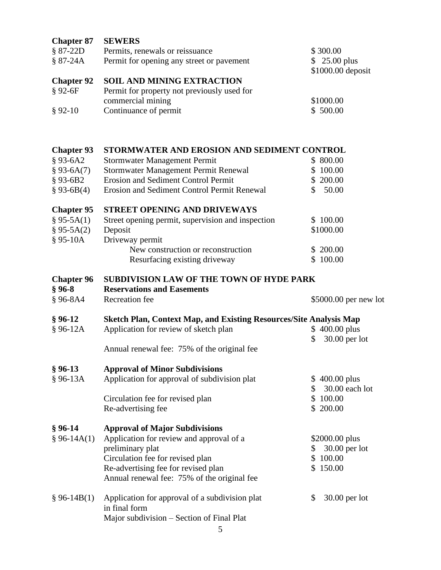| <b>Chapter 87</b><br>$$87-22D$<br>$$87-24A$<br><b>Chapter 92</b><br>$§ 92-6F$ | <b>SEWERS</b><br>Permits, renewals or reissuance<br>Permit for opening any street or pavement<br><b>SOIL AND MINING EXTRACTION</b><br>Permit for property not previously used for<br>commercial mining                  | \$300.00<br>$$25.00 \text{ plus}$<br>\$1000.00 deposit<br>\$1000.00 |
|-------------------------------------------------------------------------------|-------------------------------------------------------------------------------------------------------------------------------------------------------------------------------------------------------------------------|---------------------------------------------------------------------|
| $§ 92-10$                                                                     | Continuance of permit                                                                                                                                                                                                   | \$500.00                                                            |
|                                                                               |                                                                                                                                                                                                                         |                                                                     |
| <b>Chapter 93</b><br>$§ 93-6A2$<br>$§ 93-6A(7)$<br>$§ 93-6B2$<br>$§ 93-6B(4)$ | STORMWATER AND EROSION AND SEDIMENT CONTROL<br><b>Stormwater Management Permit</b><br>Stormwater Management Permit Renewal<br><b>Erosion and Sediment Control Permit</b><br>Erosion and Sediment Control Permit Renewal | \$800.00<br>\$100.00<br>\$200.00<br>50.00<br>\$                     |
| <b>Chapter 95</b><br>$§ 95-5A(1)$<br>$§ 95-5A(2)$<br>$§ 95-10A$               | <b>STREET OPENING AND DRIVEWAYS</b><br>Street opening permit, supervision and inspection<br>Deposit<br>Driveway permit<br>New construction or reconstruction<br>Resurfacing existing driveway                           | 100.00<br>\$1000.00<br>\$200.00<br>\$100.00                         |
| <b>Chapter 96</b><br>$§ 96-8$<br>$§ 96-8A4$                                   | <b>SUBDIVISION LAW OF THE TOWN OF HYDE PARK</b><br><b>Reservations and Easements</b><br>Recreation fee                                                                                                                  | \$5000.00 per new lot                                               |
| $§ 96-12$<br>$§ 96-12A$                                                       | <b>Sketch Plan, Context Map, and Existing Resources/Site Analysis Map</b><br>Application for review of sketch plan<br>Annual renewal fee: 75% of the original fee                                                       | $$400.00$ plus<br>30.00 per lot<br>\$                               |
| $§ 96-13$<br>$§ 96-13A$                                                       | <b>Approval of Minor Subdivisions</b><br>Application for approval of subdivision plat<br>Circulation fee for revised plan<br>Re-advertising fee                                                                         | $$400.00$ plus<br>30.00 each lot<br>\$<br>\$100.00<br>\$200.00      |
| $§ 96-14$<br>$§ 96-14A(1)$                                                    | <b>Approval of Major Subdivisions</b><br>Application for review and approval of a<br>preliminary plat<br>Circulation fee for revised plan<br>Re-advertising fee for revised plan                                        | \$2000.00 plus<br>$30.00$ per lot<br>S<br>\$100.00<br>\$150.00      |

§ 96-14B(1) Application for approval of a subdivision plat \$ 30.00 per lot in final form Major subdivision – Section of Final Plat

Annual renewal fee: 75% of the original fee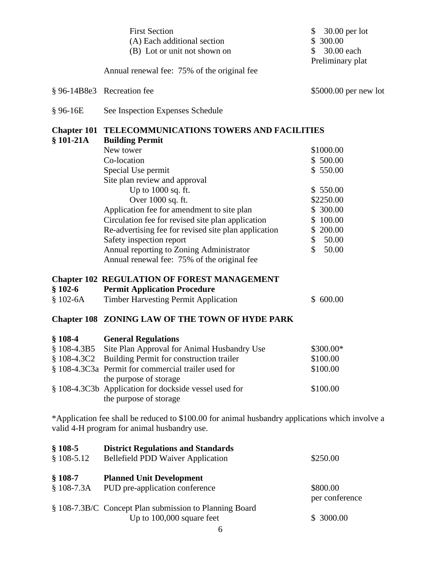|                          | <b>First Section</b><br>(A) Each additional section<br>(B) Lot or unit not shown on                                                                                                                                                                                                                                                                           | 30.00 per lot<br>\$<br>\$ 300.00<br>\$<br>30.00 each                                                                          |
|--------------------------|---------------------------------------------------------------------------------------------------------------------------------------------------------------------------------------------------------------------------------------------------------------------------------------------------------------------------------------------------------------|-------------------------------------------------------------------------------------------------------------------------------|
|                          | Annual renewal fee: 75% of the original fee                                                                                                                                                                                                                                                                                                                   | Preliminary plat                                                                                                              |
|                          | § 96-14B8e3 Recreation fee                                                                                                                                                                                                                                                                                                                                    | \$5000.00 per new lot                                                                                                         |
| $§ 96-16E$               | See Inspection Expenses Schedule                                                                                                                                                                                                                                                                                                                              |                                                                                                                               |
| $$101-21A$               | <b>Chapter 101 TELECOMMUNICATIONS TOWERS AND FACILITIES</b><br><b>Building Permit</b>                                                                                                                                                                                                                                                                         |                                                                                                                               |
|                          | New tower<br>Co-location<br>Special Use permit<br>Site plan review and approval<br>Up to 1000 sq. ft.<br>Over 1000 sq. ft.<br>Application fee for amendment to site plan<br>Circulation fee for revised site plan application<br>Re-advertising fee for revised site plan application<br>Safety inspection report<br>Annual reporting to Zoning Administrator | \$1000.00<br>\$500.00<br>\$550.00<br>\$550.00<br>\$2250.00<br>\$ 300.00<br>\$100.00<br>\$200.00<br>\$<br>50.00<br>\$<br>50.00 |
| $$102-6$<br>$$102-6A$    | Annual renewal fee: 75% of the original fee<br><b>Chapter 102 REGULATION OF FOREST MANAGEMENT</b><br><b>Permit Application Procedure</b><br><b>Timber Harvesting Permit Application</b>                                                                                                                                                                       | \$600.00                                                                                                                      |
|                          | <b>Chapter 108 ZONING LAW OF THE TOWN OF HYDE PARK</b>                                                                                                                                                                                                                                                                                                        |                                                                                                                               |
| $$108-4$<br>$$108-4.3C2$ | <b>General Regulations</b><br>§ 108-4.3B5 Site Plan Approval for Animal Husbandry Use<br>Building Permit for construction trailer<br>§ 108-4.3C3a Permit for commercial trailer used for<br>the purpose of storage<br>§ 108-4.3C3b Application for dockside vessel used for<br>the purpose of storage                                                         | \$300.00*<br>\$100.00<br>\$100.00<br>\$100.00                                                                                 |
|                          | *Application fee shall be reduced to \$100.00 for animal husbandry applications which involve a<br>valid 4-H program for animal husbandry use.                                                                                                                                                                                                                |                                                                                                                               |
| $$108-5$<br>$$108-5.12$  | <b>District Regulations and Standards</b><br><b>Bellefield PDD Waiver Application</b>                                                                                                                                                                                                                                                                         | \$250.00                                                                                                                      |
| $$108-7$<br>$$108-7.3A$  | <b>Planned Unit Development</b><br>PUD pre-application conference<br>§ 108-7.3B/C Concept Plan submission to Planning Board<br>Up to 100,000 square feet<br>6                                                                                                                                                                                                 | \$800.00<br>per conference<br>\$ 3000.00                                                                                      |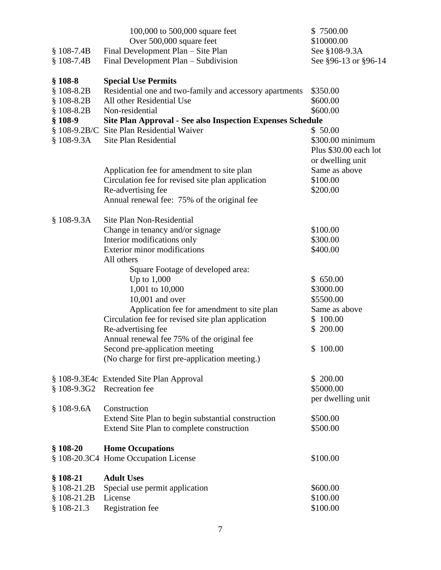|              | 100,000 to 500,000 square feet                                    | \$7500.00                                                     |
|--------------|-------------------------------------------------------------------|---------------------------------------------------------------|
|              | Over 500,000 square feet                                          | \$10000.00                                                    |
| $$108-7.4B$  | Final Development Plan - Site Plan                                | See §108-9.3A                                                 |
| $$108-7.4B$  | Final Development Plan - Subdivision                              | See §96-13 or §96-14                                          |
| $$108-8$     | <b>Special Use Permits</b>                                        |                                                               |
| $$108-8.2B$  | Residential one and two-family and accessory apartments           | \$350.00                                                      |
| $$108-8.2B$  | All other Residential Use                                         | \$600.00                                                      |
| $$108-8.2B$  | Non-residential                                                   | \$600.00                                                      |
| $$108-9$     | <b>Site Plan Approval - See also Inspection Expenses Schedule</b> |                                                               |
|              | § 108-9.2B/C Site Plan Residential Waiver                         | \$50.00                                                       |
| $$108-9.3A$  | Site Plan Residential                                             | \$300.00 minimum<br>Plus \$30.00 each lot<br>or dwelling unit |
|              | Application fee for amendment to site plan                        | Same as above                                                 |
|              | Circulation fee for revised site plan application                 | \$100.00                                                      |
|              | Re-advertising fee                                                | \$200.00                                                      |
|              | Annual renewal fee: 75% of the original fee                       |                                                               |
| $$108-9.3A$  | Site Plan Non-Residential                                         |                                                               |
|              | Change in tenancy and/or signage                                  | \$100.00                                                      |
|              | Interior modifications only                                       | \$300.00                                                      |
|              | <b>Exterior minor modifications</b>                               | \$400.00                                                      |
|              | All others                                                        |                                                               |
|              | Square Footage of developed area:                                 |                                                               |
|              | Up to $1,000$                                                     | \$650.00                                                      |
|              | 1,001 to 10,000                                                   | \$3000.00                                                     |
|              | $10,001$ and over                                                 | \$5500.00                                                     |
|              | Application fee for amendment to site plan                        | Same as above                                                 |
|              | Circulation fee for revised site plan application                 | \$100.00                                                      |
|              | Re-advertising fee                                                | \$200.00                                                      |
|              | Annual renewal fee 75% of the original fee                        |                                                               |
|              | Second pre-application meeting                                    | \$100.00                                                      |
|              | (No charge for first pre-application meeting.)                    |                                                               |
|              | § 108-9.3E4c Extended Site Plan Approval                          | \$200.00                                                      |
|              | § 108-9.3G2 Recreation fee                                        | \$5000.00                                                     |
|              | Construction                                                      | per dwelling unit                                             |
| $$108-9.6A$  | Extend Site Plan to begin substantial construction                | \$500.00                                                      |
|              | Extend Site Plan to complete construction                         | \$500.00                                                      |
| $$108-20$    | <b>Home Occupations</b>                                           |                                                               |
|              | § 108-20.3C4 Home Occupation License                              | \$100.00                                                      |
| $$108-21$    | <b>Adult Uses</b>                                                 |                                                               |
| $$108-21.2B$ | Special use permit application                                    | \$600.00                                                      |
| $$108-21.2B$ | License                                                           | \$100.00                                                      |
| $$108-21.3$  | Registration fee                                                  | \$100.00                                                      |
|              |                                                                   |                                                               |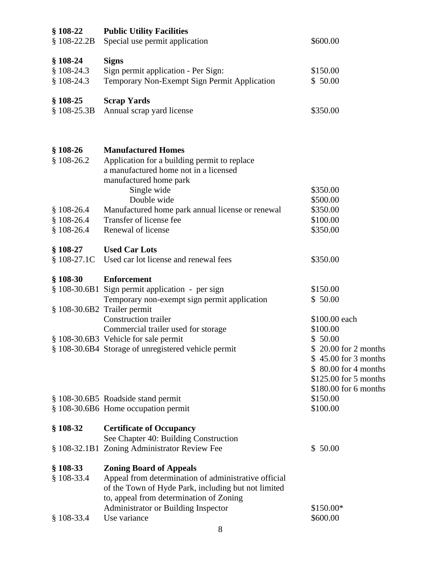| $$108-22$    | <b>Public Utility Facilities</b>                     |                       |
|--------------|------------------------------------------------------|-----------------------|
| $$108-22.2B$ | Special use permit application                       | \$600.00              |
|              |                                                      |                       |
| $$108-24$    | <b>Signs</b>                                         |                       |
| $$108-24.3$  | Sign permit application - Per Sign:                  | \$150.00              |
| $$108-24.3$  | Temporary Non-Exempt Sign Permit Application         | \$50.00               |
| $§$ 108-25   | <b>Scrap Yards</b>                                   |                       |
| $$108-25.3B$ | Annual scrap yard license                            | \$350.00              |
|              |                                                      |                       |
| $$108-26$    | <b>Manufactured Homes</b>                            |                       |
| $$108-26.2$  | Application for a building permit to replace         |                       |
|              | a manufactured home not in a licensed                |                       |
|              | manufactured home park                               |                       |
|              | Single wide                                          | \$350.00              |
|              | Double wide                                          | \$500.00              |
| $$108-26.4$  | Manufactured home park annual license or renewal     | \$350.00              |
| $$108-26.4$  | Transfer of license fee                              | \$100.00              |
| $$108-26.4$  | Renewal of license                                   | \$350.00              |
| $$108-27$    | <b>Used Car Lots</b>                                 |                       |
| $$108-27.1C$ | Used car lot license and renewal fees                | \$350.00              |
| $§$ 108-30   | <b>Enforcement</b>                                   |                       |
|              | § 108-30.6B1 Sign permit application - per sign      | \$150.00              |
|              | Temporary non-exempt sign permit application         | \$50.00               |
|              | § 108-30.6B2 Trailer permit                          |                       |
|              | <b>Construction trailer</b>                          | \$100.00 each         |
|              | Commercial trailer used for storage                  | \$100.00              |
|              | § 108-30.6B3 Vehicle for sale permit                 | \$50.00               |
|              | § 108-30.6B4 Storage of unregistered vehicle permit  | \$20.00 for 2 months  |
|              |                                                      | \$45.00 for 3 months  |
|              |                                                      | \$ 80.00 for 4 months |
|              |                                                      | \$125.00 for 5 months |
|              |                                                      | \$180.00 for 6 months |
|              | § 108-30.6B5 Roadside stand permit                   | \$150.00              |
|              | § 108-30.6B6 Home occupation permit                  | \$100.00              |
| $$108-32$    | <b>Certificate of Occupancy</b>                      |                       |
|              | See Chapter 40: Building Construction                |                       |
|              | § 108-32.1B1 Zoning Administrator Review Fee         | \$50.00               |
| $§$ 108-33   | <b>Zoning Board of Appeals</b>                       |                       |
| $$108-33.4$  | Appeal from determination of administrative official |                       |
|              | of the Town of Hyde Park, including but not limited  |                       |
|              | to, appeal from determination of Zoning              |                       |
|              | Administrator or Building Inspector                  | \$150.00*             |
| $$108-33.4$  | Use variance                                         | \$600.00              |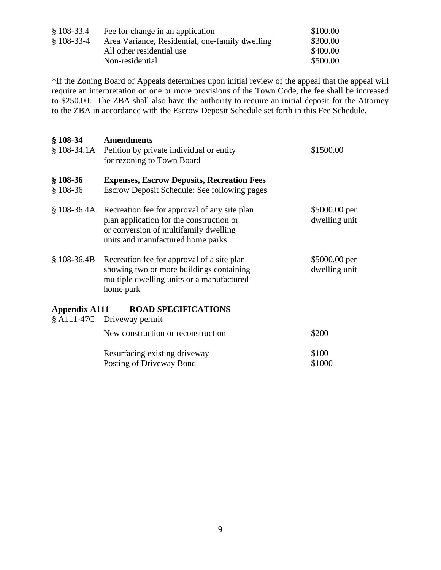| $$108-33.4$ | Fee for change in an application                | \$100.00 |
|-------------|-------------------------------------------------|----------|
| $$108-33-4$ | Area Variance, Residential, one-family dwelling | \$300.00 |
|             | All other residential use                       | \$400.00 |
|             | Non-residential                                 | \$500.00 |

\*If the Zoning Board of Appeals determines upon initial review of the appeal that the appeal will require an interpretation on one or more provisions of the Town Code, the fee shall be increased to \$250.00. The ZBA shall also have the authority to require an initial deposit for the Attorney to the ZBA in accordance with the Escrow Deposit Schedule set forth in this Fee Schedule.

| $$108-34$              | <b>Amendments</b><br>§ 108-34.1A Petition by private individual or entity<br>for rezoning to Town Board                                                                            | \$1500.00                      |
|------------------------|------------------------------------------------------------------------------------------------------------------------------------------------------------------------------------|--------------------------------|
| $$108-36$<br>$$108-36$ | <b>Expenses, Escrow Deposits, Recreation Fees</b><br>Escrow Deposit Schedule: See following pages                                                                                  |                                |
|                        | § 108-36.4A Recreation fee for approval of any site plan<br>plan application for the construction or<br>or conversion of multifamily dwelling<br>units and manufactured home parks | \$5000.00 per<br>dwelling unit |
|                        | § 108-36.4B Recreation fee for approval of a site plan<br>showing two or more buildings containing<br>multiple dwelling units or a manufactured<br>home park                       | \$5000.00 per<br>dwelling unit |
| Appendix A111          | <b>ROAD SPECIFICATIONS</b>                                                                                                                                                         |                                |
|                        | § A111-47C Driveway permit                                                                                                                                                         |                                |
|                        | New construction or reconstruction                                                                                                                                                 | \$200                          |
|                        | Resurfacing existing driveway<br>Posting of Driveway Bond                                                                                                                          | \$100<br>\$1000                |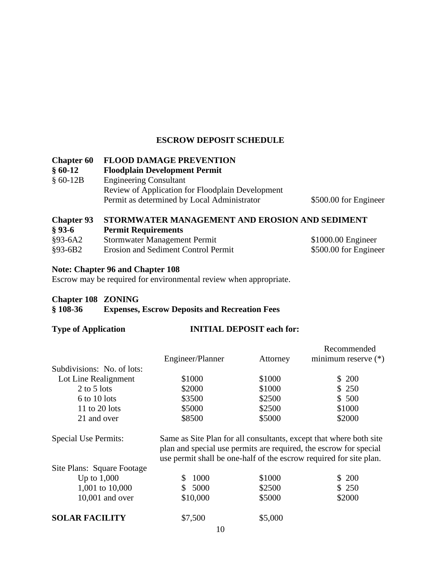### **ESCROW DEPOSIT SCHEDULE**

#### **Chapter 60 FLOOD DAMAGE PREVENTION**

**§ 60-12 Floodplain Development Permit** Engineering Consultant Review of Application for Floodplain Development Permit as determined by Local Administrator \$500.00 for Engineer

### **Chapter 93 STORMWATER MANAGEMENT AND EROSION AND SEDIMENT**

| $§ 93-6$  | <b>Permit Requirements</b>          |                       |
|-----------|-------------------------------------|-----------------------|
| §93-6A2   | Stormwater Management Permit        | $$1000.00$ Engineer   |
| $§93-6B2$ | Erosion and Sediment Control Permit | \$500.00 for Engineer |

#### **Note: Chapter 96 and Chapter 108**

Escrow may be required for environmental review when appropriate.

#### **Chapter 108 ZONING**

### **§ 108-36 Expenses, Escrow Deposits and Recreation Fees**

#### **Type of Application INITIAL DEPOSIT each for:**

|                             |                                                                   |          | Recommended                                                                                                                              |
|-----------------------------|-------------------------------------------------------------------|----------|------------------------------------------------------------------------------------------------------------------------------------------|
|                             | Engineer/Planner                                                  | Attorney | minimum reserve (*)                                                                                                                      |
| Subdivisions: No. of lots:  |                                                                   |          |                                                                                                                                          |
| Lot Line Realignment        | \$1000                                                            | \$1000   | \$ 200                                                                                                                                   |
| $2$ to $5$ lots             | \$2000                                                            | \$1000   | \$250                                                                                                                                    |
| 6 to 10 lots                | \$3500                                                            | \$2500   | \$500                                                                                                                                    |
| 11 to 20 lots               | \$5000                                                            | \$2500   | \$1000                                                                                                                                   |
| 21 and over                 | \$8500                                                            | \$5000   | \$2000                                                                                                                                   |
| <b>Special Use Permits:</b> | plan and special use permits are required, the escrow for special |          | Same as Site Plan for all consultants, except that where both site<br>use permit shall be one-half of the escrow required for site plan. |
| Site Plans: Square Footage  |                                                                   |          |                                                                                                                                          |
| Up to $1,000$               | 1000<br>\$.                                                       | \$1000   | \$ 200                                                                                                                                   |
| 1,001 to 10,000             | \$5000                                                            | \$2500   | \$ 250                                                                                                                                   |
| $10,001$ and over           | \$10,000                                                          | \$5000   | \$2000                                                                                                                                   |
| <b>SOLAR FACILITY</b>       | \$7,500                                                           | \$5,000  |                                                                                                                                          |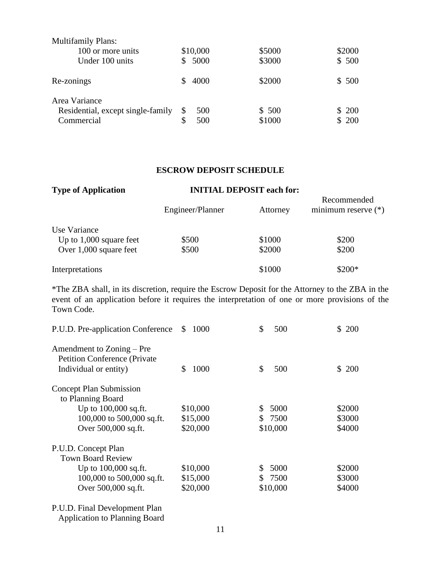| <b>Multifamily Plans:</b>         |    |          |        |        |
|-----------------------------------|----|----------|--------|--------|
| 100 or more units                 |    | \$10,000 | \$5000 | \$2000 |
| Under 100 units                   | S. | 5000     | \$3000 | \$500  |
| Re-zonings                        |    | 4000     | \$2000 | \$500  |
| Area Variance                     |    |          |        |        |
| Residential, except single-family |    | 500      | \$500  | \$200  |
| Commercial                        |    | 500      | \$1000 | \$200  |

#### **ESCROW DEPOSIT SCHEDULE**

| <b>Type of Application</b> | <b>INITIAL DEPOSIT each for:</b> |          |                                      |
|----------------------------|----------------------------------|----------|--------------------------------------|
|                            | Engineer/Planner                 | Attorney | Recommended<br>minimum reserve $(*)$ |
| Use Variance               |                                  |          |                                      |
| Up to $1,000$ square feet  | \$500                            | \$1000   | \$200                                |
| Over 1,000 square feet     | \$500                            | \$2000   | \$200                                |
| Interpretations            |                                  | \$1000   | \$200*                               |

\*The ZBA shall, in its discretion, require the Escrow Deposit for the Attorney to the ZBA in the event of an application before it requires the interpretation of one or more provisions of the Town Code.

| P.U.D. Pre-application Conference                                                           | 1000<br>\$ | \$<br>500  | \$ 200 |
|---------------------------------------------------------------------------------------------|------------|------------|--------|
| Amendment to Zoning – Pre<br><b>Petition Conference (Private</b> )<br>Individual or entity) | 1000<br>\$ | \$<br>500  | \$200  |
| <b>Concept Plan Submission</b><br>to Planning Board                                         |            |            |        |
| Up to $100,000$ sq.ft.                                                                      | \$10,000   | 5000<br>S  | \$2000 |
| 100,000 to $500,000$ sq.ft.                                                                 | \$15,000   | \$ 7500    | \$3000 |
| Over 500,000 sq.ft.                                                                         | \$20,000   | \$10,000   | \$4000 |
| P.U.D. Concept Plan                                                                         |            |            |        |
| <b>Town Board Review</b>                                                                    |            |            |        |
| Up to $100,000$ sq.ft.                                                                      | \$10,000   | 5000<br>\$ | \$2000 |
| 100,000 to $500,000$ sq.ft.                                                                 | \$15,000   | 7500<br>S. | \$3000 |
| Over 500,000 sq.ft.                                                                         | \$20,000   | \$10,000   | \$4000 |

P.U.D. Final Development Plan

Application to Planning Board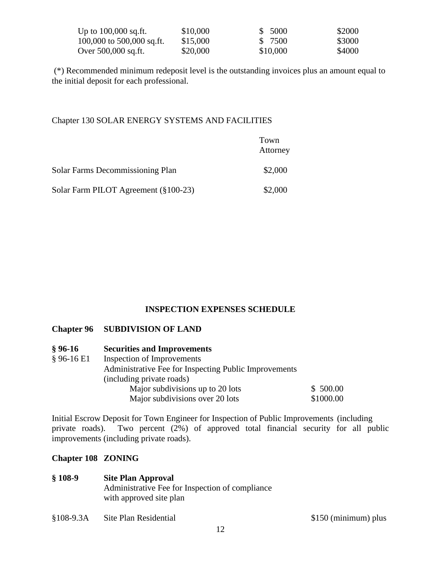| Up to 100,000 sq.ft.      | \$10,000 | \$ 5000  | \$2000 |
|---------------------------|----------|----------|--------|
| 100,000 to 500,000 sq.ft. | \$15,000 | \$ 7500  | \$3000 |
| Over 500,000 sq.ft.       | \$20,000 | \$10,000 | \$4000 |

(\*) Recommended minimum redeposit level is the outstanding invoices plus an amount equal to the initial deposit for each professional.

#### Chapter 130 SOLAR ENERGY SYSTEMS AND FACILITIES

|                                      | Town<br>Attorney |
|--------------------------------------|------------------|
| Solar Farms Decommissioning Plan     | \$2,000          |
| Solar Farm PILOT Agreement (§100-23) | \$2,000          |

### **INSPECTION EXPENSES SCHEDULE**

### **Chapter 96 SUBDIVISION OF LAND**

| $§ 96-16$    | <b>Securities and Improvements</b>                    |           |
|--------------|-------------------------------------------------------|-----------|
| $§$ 96-16 E1 | Inspection of Improvements                            |           |
|              | Administrative Fee for Inspecting Public Improvements |           |
|              | (including private roads)                             |           |
|              | Major subdivisions up to 20 lots                      | \$500.00  |
|              | Major subdivisions over 20 lots                       | \$1000.00 |

Initial Escrow Deposit for Town Engineer for Inspection of Public Improvements (including private roads). Two percent (2%) of approved total financial security for all public improvements (including private roads).

#### **Chapter 108 ZONING**

#### **§ 108-9 Site Plan Approval**

Administrative Fee for Inspection of compliance with approved site plan

§108-9.3A Site Plan Residential \$150 (minimum) plus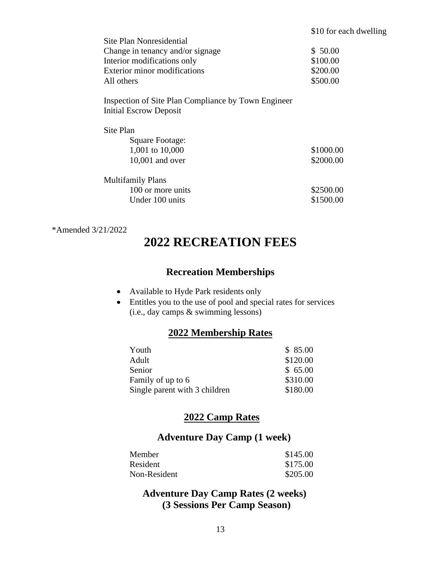| Site Plan Nonresidential                            |           |
|-----------------------------------------------------|-----------|
| Change in tenancy and/or signage                    | \$50.00   |
| Interior modifications only                         | \$100.00  |
| <b>Exterior minor modifications</b>                 | \$200.00  |
| All others                                          | \$500.00  |
| Inspection of Site Plan Compliance by Town Engineer |           |
| Initial Escrow Deposit                              |           |
| Site Plan                                           |           |
| Square Footage:                                     |           |
| 1,001 to 10,000                                     | \$1000.00 |
| $10,001$ and over                                   | \$2000.00 |
| <b>Multifamily Plans</b>                            |           |
| 100 or more units                                   | \$2500.00 |
| Under 100 units                                     | \$1500.00 |

#### \*Amended 3/21/2022

# **2022 RECREATION FEES**

# **Recreation Memberships**

- Available to Hyde Park residents only
- Entitles you to the use of pool and special rates for services (i.e., day camps & swimming lessons)

## **2022 Membership Rates**

| Youth                         | \$85.00  |
|-------------------------------|----------|
| Adult                         | \$120.00 |
| Senior                        | \$65.00  |
| Family of up to 6             | \$310.00 |
| Single parent with 3 children | \$180.00 |

# **2022 Camp Rates**

# **Adventure Day Camp (1 week)**

| Member       | \$145.00 |
|--------------|----------|
| Resident     | \$175.00 |
| Non-Resident | \$205.00 |

# **Adventure Day Camp Rates (2 weeks) (3 Sessions Per Camp Season)**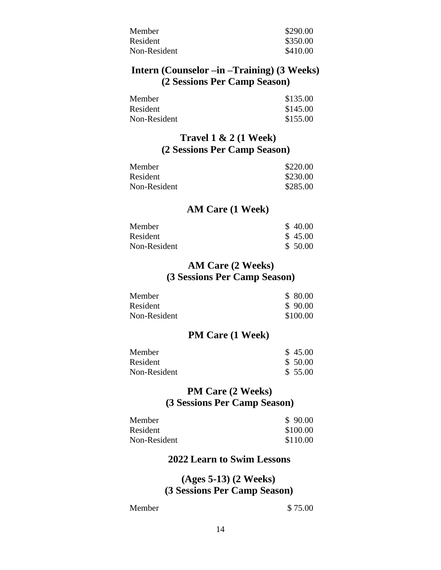| Member       | \$290.00 |
|--------------|----------|
| Resident     | \$350.00 |
| Non-Resident | \$410.00 |

# **Intern (Counselor –in –Training) (3 Weeks) (2 Sessions Per Camp Season)**

| Member       | \$135.00 |
|--------------|----------|
| Resident     | \$145.00 |
| Non-Resident | \$155.00 |

# **Travel 1 & 2 (1 Week) (2 Sessions Per Camp Season)**

| Member       | \$220.00 |
|--------------|----------|
| Resident     | \$230.00 |
| Non-Resident | \$285.00 |

### **AM Care (1 Week)**

| Member       | \$40.00 |
|--------------|---------|
| Resident     | \$45.00 |
| Non-Resident | \$50.00 |

# **AM Care (2 Weeks) (3 Sessions Per Camp Season)**

| Member       | \$ 80.00 |
|--------------|----------|
| Resident     | \$90.00  |
| Non-Resident | \$100.00 |

# **PM Care (1 Week)**

| Member       | \$45.00 |
|--------------|---------|
| Resident     | \$50.00 |
| Non-Resident | \$55.00 |

# **PM Care (2 Weeks) (3 Sessions Per Camp Season)**

| Member       | \$90.00  |
|--------------|----------|
| Resident     | \$100.00 |
| Non-Resident | \$110.00 |

### **2022 Learn to Swim Lessons**

## **(Ages 5-13) (2 Weeks) (3 Sessions Per Camp Season)**

Member \$ 75.00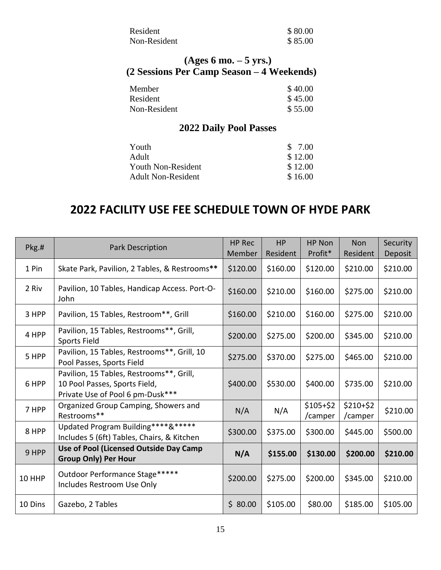| Resident     | \$80.00 |
|--------------|---------|
| Non-Resident | \$85.00 |

# **(Ages 6 mo. – 5 yrs.) (2 Sessions Per Camp Season – 4 Weekends)**

| Member       | \$40.00 |
|--------------|---------|
| Resident     | \$45.00 |
| Non-Resident | \$55.00 |

# **2022 Daily Pool Passes**

| Youth              | \$ 7.00 |
|--------------------|---------|
| Adult              | \$12.00 |
| Youth Non-Resident | \$12.00 |
| Adult Non-Resident | \$16.00 |
|                    |         |

# **2022 FACILITY USE FEE SCHEDULE TOWN OF HYDE PARK**

| Pkg.#   | <b>Park Description</b>                                                                                       | <b>HP Rec</b><br>Member | <b>HP</b><br>Resident | HP Non<br>Profit*    | <b>Non</b><br>Resident | Security<br>Deposit |
|---------|---------------------------------------------------------------------------------------------------------------|-------------------------|-----------------------|----------------------|------------------------|---------------------|
| 1 Pin   | Skate Park, Pavilion, 2 Tables, & Restrooms**                                                                 | \$120.00                | \$160.00              | \$120.00             | \$210.00               | \$210.00            |
| 2 Riv   | Pavilion, 10 Tables, Handicap Access. Port-O-<br>John                                                         | \$160.00                | \$210.00              | \$160.00             | \$275.00               | \$210.00            |
| 3 HPP   | Pavilion, 15 Tables, Restroom**, Grill                                                                        | \$160.00                | \$210.00              | \$160.00             | \$275.00               | \$210.00            |
| 4 HPP   | Pavilion, 15 Tables, Restrooms**, Grill,<br><b>Sports Field</b>                                               | \$200.00                | \$275.00              | \$200.00             | \$345.00               | \$210.00            |
| 5 HPP   | Pavilion, 15 Tables, Restrooms**, Grill, 10<br>Pool Passes, Sports Field                                      | \$275.00                | \$370.00              | \$275.00             | \$465.00               | \$210.00            |
| 6 HPP   | Pavilion, 15 Tables, Restrooms**, Grill,<br>10 Pool Passes, Sports Field,<br>Private Use of Pool 6 pm-Dusk*** | \$400.00                | \$530.00              | \$400.00             | \$735.00               | \$210.00            |
| 7 HPP   | Organized Group Camping, Showers and<br>Restrooms**                                                           | N/A                     | N/A                   | $$105+$2$<br>/camper | $$210+$2$<br>/camper   | \$210.00            |
| 8 HPP   | Updated Program Building****&*****<br>Includes 5 (6ft) Tables, Chairs, & Kitchen                              | \$300.00                | \$375.00              | \$300.00             | \$445.00               | \$500.00            |
| 9 HPP   | Use of Pool (Licensed Outside Day Camp<br><b>Group Only) Per Hour</b>                                         | N/A                     | \$155.00              | \$130.00             | \$200.00               | \$210.00            |
| 10 HHP  | Outdoor Performance Stage*****<br>Includes Restroom Use Only                                                  | \$200.00                | \$275.00              | \$200.00             | \$345.00               | \$210.00            |
| 10 Dins | Gazebo, 2 Tables                                                                                              | \$80.00                 | \$105.00              | \$80.00              | \$185.00               | \$105.00            |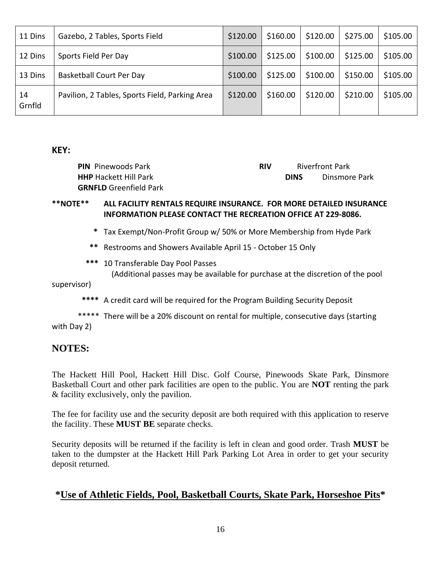| 11 Dins      | Gazebo, 2 Tables, Sports Field                 | \$120.00 | \$160.00 | \$120.00 | \$275.00 | \$105.00 |
|--------------|------------------------------------------------|----------|----------|----------|----------|----------|
| 12 Dins      | Sports Field Per Day                           | \$100.00 | \$125.00 | \$100.00 | \$125.00 | \$105.00 |
| 13 Dins      | <b>Basketball Court Per Day</b>                | \$100.00 | \$125.00 | \$100.00 | \$150.00 | \$105.00 |
| 14<br>Grnfld | Pavilion, 2 Tables, Sports Field, Parking Area | \$120.00 | \$160.00 | \$120.00 | \$210.00 | \$105.00 |

### **KEY:**

| <b>PIN</b> Pinewoods Park     | <b>RIV</b> | <b>Riverfront Park</b> |               |
|-------------------------------|------------|------------------------|---------------|
| <b>HHP</b> Hackett Hill Park  |            | <b>DINS</b>            | Dinsmore Park |
| <b>GRNFLD</b> Greenfield Park |            |                        |               |

## **\*\*NOTE\*\* ALL FACILITY RENTALS REQUIRE INSURANCE. FOR MORE DETAILED INSURANCE INFORMATION PLEASE CONTACT THE RECREATION OFFICE AT 229-8086.**

- **\*** Tax Exempt/Non-Profit Group w/ 50% or More Membership from Hyde Park
- **\*\*** Restrooms and Showers Available April 15 October 15 Only
- **\*\*\*** 10 Transferable Day Pool Passes (Additional passes may be available for purchase at the discretion of the pool

supervisor)

 **\*\*\*\*** A credit card will be required for the Program Building Security Deposit

\*\*\*\*\* There will be a 20% discount on rental for multiple, consecutive days (starting with Day 2)

# **NOTES:**

The Hackett Hill Pool, Hackett Hill Disc. Golf Course, Pinewoods Skate Park, Dinsmore Basketball Court and other park facilities are open to the public. You are **NOT** renting the park & facility exclusively, only the pavilion.

The fee for facility use and the security deposit are both required with this application to reserve the facility. These **MUST BE** separate checks.

Security deposits will be returned if the facility is left in clean and good order. Trash **MUST** be taken to the dumpster at the Hackett Hill Park Parking Lot Area in order to get your security deposit returned.

# **\*Use of Athletic Fields, Pool, Basketball Courts, Skate Park, Horseshoe Pits\***